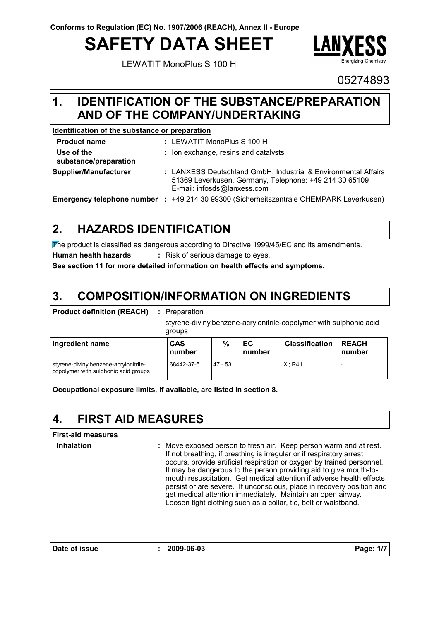# **SAFETY DATA SHEET**

LEWATIT MonoPlus S 100 H



05274893

#### **IDENTIFICATION OF THE SUBSTANCE/PREPARATION 1. AND OF THE COMPANY/UNDERTAKING**

#### **Identification of the substance or preparation**

| <b>Product name</b>                 | : LEWATIT MonoPlus S 100 H                                                                                                                              |
|-------------------------------------|---------------------------------------------------------------------------------------------------------------------------------------------------------|
| Use of the<br>substance/preparation | : Ion exchange, resins and catalysts                                                                                                                    |
| Supplier/Manufacturer               | : LANXESS Deutschland GmbH, Industrial & Environmental Affairs<br>51369 Leverkusen, Germany, Telephone: +49 214 30 65109<br>E-mail: infosds@lanxess.com |
|                                     | <b>Emergency telephone number : +49 214 30 99300 (Sicherheitszentrale CHEMPARK Leverkusen)</b>                                                          |

#### **HAZARDS IDENTIFICATION 2.**

The product is classified as dangerous according to Directive 1999/45/EC and its amendments. **Human health hazards :** Risk of serious damage to eyes.

**See section 11 for more detailed information on health effects and symptoms.**

#### **COMPOSITION/INFORMATION ON INGREDIENTS 3.**

paration

styrene-divinylbenzene-acrylonitrile-copolymer with sulphonic acid groups

| Ingredient name                                                               | CAS<br>number | %         | ЕC<br>number | <b>Classification</b> | <b>REACH</b><br><b>Inumber</b> |
|-------------------------------------------------------------------------------|---------------|-----------|--------------|-----------------------|--------------------------------|
| styrene-divinylbenzene-acrylonitrile-<br>copolymer with sulphonic acid groups | 68442-37-5    | $47 - 53$ |              | <b>Xi: R41</b>        |                                |

**Occupational exposure limits, if available, are listed in section 8.**

## **4. FIRST AID MEASURES**

#### **First-aid measures**

**Inhalation :**

Move exposed person to fresh air. Keep person warm and at rest. If not breathing, if breathing is irregular or if respiratory arrest occurs, provide artificial respiration or oxygen by trained personnel. It may be dangerous to the person providing aid to give mouth-tomouth resuscitation. Get medical attention if adverse health effects persist or are severe. If unconscious, place in recovery position and get medical attention immediately. Maintain an open airway. Loosen tight clothing such as a collar, tie, belt or waistband.

**Date of issue : 2009-06-03 Page: 1/7**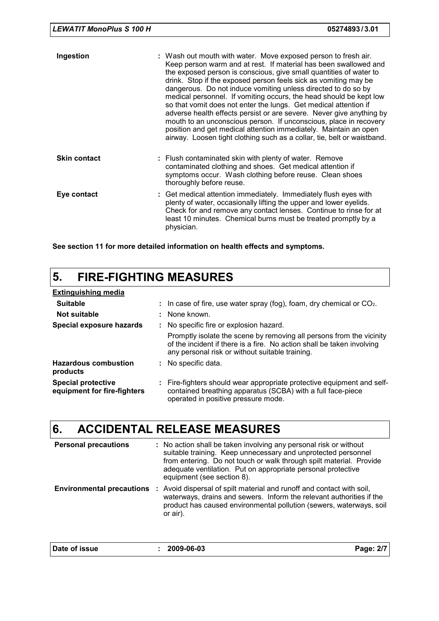| Ingestion           |                                                                                                                                                 | : Wash out mouth with water. Move exposed person to fresh air.<br>Keep person warm and at rest. If material has been swallowed and<br>the exposed person is conscious, give small quantities of water to<br>drink. Stop if the exposed person feels sick as vomiting may be<br>dangerous. Do not induce vomiting unless directed to do so by<br>medical personnel. If vomiting occurs, the head should be kept low<br>so that vomit does not enter the lungs. Get medical attention if<br>adverse health effects persist or are severe. Never give anything by<br>mouth to an unconscious person. If unconscious, place in recovery<br>position and get medical attention immediately. Maintain an open<br>airway. Loosen tight clothing such as a collar, tie, belt or waistband. |
|---------------------|-------------------------------------------------------------------------------------------------------------------------------------------------|------------------------------------------------------------------------------------------------------------------------------------------------------------------------------------------------------------------------------------------------------------------------------------------------------------------------------------------------------------------------------------------------------------------------------------------------------------------------------------------------------------------------------------------------------------------------------------------------------------------------------------------------------------------------------------------------------------------------------------------------------------------------------------|
| <b>Skin contact</b> | : Flush contaminated skin with plenty of water. Remove<br>contaminated clothing and shoes. Get medical attention if<br>thoroughly before reuse. | symptoms occur. Wash clothing before reuse. Clean shoes                                                                                                                                                                                                                                                                                                                                                                                                                                                                                                                                                                                                                                                                                                                            |
| Eye contact         | physician.                                                                                                                                      | : Get medical attention immediately. Immediately flush eyes with<br>plenty of water, occasionally lifting the upper and lower eyelids.<br>Check for and remove any contact lenses. Continue to rinse for at<br>least 10 minutes. Chemical burns must be treated promptly by a                                                                                                                                                                                                                                                                                                                                                                                                                                                                                                      |

**See section 11 for more detailed information on health effects and symptoms.**

### **5. FIRE-FIGHTING MEASURES**

| <b>Extinguishing media</b>                               |                                                                                                                                                                                                   |
|----------------------------------------------------------|---------------------------------------------------------------------------------------------------------------------------------------------------------------------------------------------------|
| <b>Suitable</b>                                          | : In case of fire, use water spray (fog), foam, dry chemical or $CO2$ .                                                                                                                           |
| Not suitable                                             | : None known.                                                                                                                                                                                     |
| Special exposure hazards                                 | : No specific fire or explosion hazard.                                                                                                                                                           |
|                                                          | Promptly isolate the scene by removing all persons from the vicinity<br>of the incident if there is a fire. No action shall be taken involving<br>any personal risk or without suitable training. |
| <b>Hazardous combustion</b><br>products                  | : No specific data.                                                                                                                                                                               |
| <b>Special protective</b><br>equipment for fire-fighters | : Fire-fighters should wear appropriate protective equipment and self-<br>contained breathing apparatus (SCBA) with a full face-piece<br>operated in positive pressure mode.                      |

## **6. ACCIDENTAL RELEASE MEASURES**

| <b>Personal precautions</b> | : No action shall be taken involving any personal risk or without<br>suitable training. Keep unnecessary and unprotected personnel<br>from entering. Do not touch or walk through spilt material. Provide<br>adequate ventilation. Put on appropriate personal protective<br>equipment (see section 8). |
|-----------------------------|---------------------------------------------------------------------------------------------------------------------------------------------------------------------------------------------------------------------------------------------------------------------------------------------------------|
|                             | <b>Environmental precautions</b> : Avoid dispersal of spilt material and runoff and contact with soil,<br>waterways, drains and sewers. Inform the relevant authorities if the<br>product has caused environmental pollution (sewers, waterways, soil<br>or air).                                       |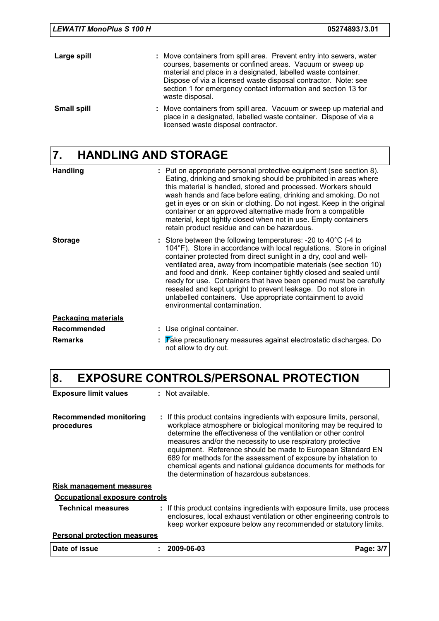| <b>LEWATIT MonoPlus S 100 H</b> | 05274893/3.01                                                                                                                                                                                                                                                                                                                                           |  |
|---------------------------------|---------------------------------------------------------------------------------------------------------------------------------------------------------------------------------------------------------------------------------------------------------------------------------------------------------------------------------------------------------|--|
| Large spill                     | : Move containers from spill area. Prevent entry into sewers, water<br>courses, basements or confined areas. Vacuum or sweep up<br>material and place in a designated, labelled waste container.<br>Dispose of via a licensed waste disposal contractor. Note: see<br>section 1 for emergency contact information and section 13 for<br>waste disposal. |  |
| <b>Small spill</b>              | : Move containers from spill area. Vacuum or sweep up material and<br>place in a designated, labelled waste container. Dispose of via a<br>licensed waste disposal contractor.                                                                                                                                                                          |  |

# **7. HANDLING AND STORAGE**

| <b>Handling</b>            | : Put on appropriate personal protective equipment (see section 8).<br>Eating, drinking and smoking should be prohibited in areas where<br>this material is handled, stored and processed. Workers should<br>wash hands and face before eating, drinking and smoking. Do not<br>get in eyes or on skin or clothing. Do not ingest. Keep in the original<br>container or an approved alternative made from a compatible<br>material, kept tightly closed when not in use. Empty containers<br>retain product residue and can be hazardous.                                                               |
|----------------------------|---------------------------------------------------------------------------------------------------------------------------------------------------------------------------------------------------------------------------------------------------------------------------------------------------------------------------------------------------------------------------------------------------------------------------------------------------------------------------------------------------------------------------------------------------------------------------------------------------------|
| <b>Storage</b>             | : Store between the following temperatures: -20 to $40^{\circ}$ C (-4 to<br>104°F). Store in accordance with local regulations. Store in original<br>container protected from direct sunlight in a dry, cool and well-<br>ventilated area, away from incompatible materials (see section 10)<br>and food and drink. Keep container tightly closed and sealed until<br>ready for use. Containers that have been opened must be carefully<br>resealed and kept upright to prevent leakage. Do not store in<br>unlabelled containers. Use appropriate containment to avoid<br>environmental contamination. |
| <b>Packaging materials</b> |                                                                                                                                                                                                                                                                                                                                                                                                                                                                                                                                                                                                         |
| <b>Recommended</b>         | : Use original container.                                                                                                                                                                                                                                                                                                                                                                                                                                                                                                                                                                               |
| <b>Remarks</b>             | $\mathbb F$ $\mathbb F$ ake precautionary measures against electrostatic discharges. Do<br>not allow to dry out.                                                                                                                                                                                                                                                                                                                                                                                                                                                                                        |

# **8. EXPOSURE CONTROLS/PERSONAL PROTECTION**

| <b>Exposure limit values</b>                | : Not available.                                                                                                                                                                                                                                                                                                                                                                                                                                                                                                                |           |
|---------------------------------------------|---------------------------------------------------------------------------------------------------------------------------------------------------------------------------------------------------------------------------------------------------------------------------------------------------------------------------------------------------------------------------------------------------------------------------------------------------------------------------------------------------------------------------------|-----------|
| <b>Recommended monitoring</b><br>procedures | : If this product contains ingredients with exposure limits, personal,<br>workplace atmosphere or biological monitoring may be required to<br>determine the effectiveness of the ventilation or other control<br>measures and/or the necessity to use respiratory protective<br>equipment. Reference should be made to European Standard EN<br>689 for methods for the assessment of exposure by inhalation to<br>chemical agents and national guidance documents for methods for<br>the determination of hazardous substances. |           |
| <u>Risk management measures</u>             |                                                                                                                                                                                                                                                                                                                                                                                                                                                                                                                                 |           |
| Occupational exposure controls              |                                                                                                                                                                                                                                                                                                                                                                                                                                                                                                                                 |           |
| <b>Technical measures</b>                   | : If this product contains ingredients with exposure limits, use process<br>enclosures, local exhaust ventilation or other engineering controls to<br>keep worker exposure below any recommended or statutory limits.                                                                                                                                                                                                                                                                                                           |           |
| <b>Personal protection measures</b>         |                                                                                                                                                                                                                                                                                                                                                                                                                                                                                                                                 |           |
| Date of issue                               | 2009-06-03                                                                                                                                                                                                                                                                                                                                                                                                                                                                                                                      | Page: 3/7 |
|                                             |                                                                                                                                                                                                                                                                                                                                                                                                                                                                                                                                 |           |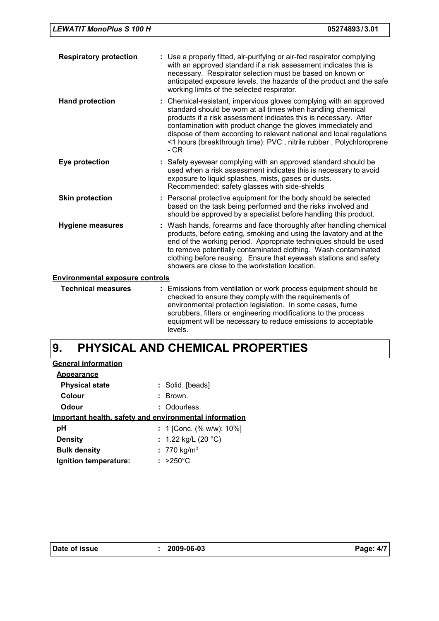| <b>Respiratory protection</b>          | : Use a properly fitted, air-purifying or air-fed respirator complying<br>with an approved standard if a risk assessment indicates this is<br>necessary. Respirator selection must be based on known or<br>anticipated exposure levels, the hazards of the product and the safe<br>working limits of the selected respirator.                                                                                               |  |  |  |
|----------------------------------------|-----------------------------------------------------------------------------------------------------------------------------------------------------------------------------------------------------------------------------------------------------------------------------------------------------------------------------------------------------------------------------------------------------------------------------|--|--|--|
| <b>Hand protection</b>                 | : Chemical-resistant, impervious gloves complying with an approved<br>standard should be worn at all times when handling chemical<br>products if a risk assessment indicates this is necessary. After<br>contamination with product change the gloves immediately and<br>dispose of them according to relevant national and local regulations<br><1 hours (breakthrough time): PVC, nitrile rubber, Polychloroprene<br>- CR |  |  |  |
| Eye protection                         | : Safety eyewear complying with an approved standard should be<br>used when a risk assessment indicates this is necessary to avoid<br>exposure to liquid splashes, mists, gases or dusts.<br>Recommended: safety glasses with side-shields                                                                                                                                                                                  |  |  |  |
| <b>Skin protection</b>                 | : Personal protective equipment for the body should be selected<br>based on the task being performed and the risks involved and<br>should be approved by a specialist before handling this product.                                                                                                                                                                                                                         |  |  |  |
| <b>Hygiene measures</b>                | : Wash hands, forearms and face thoroughly after handling chemical<br>products, before eating, smoking and using the lavatory and at the<br>end of the working period. Appropriate techniques should be used<br>to remove potentially contaminated clothing. Wash contaminated<br>clothing before reusing. Ensure that eyewash stations and safety<br>showers are close to the workstation location.                        |  |  |  |
| <b>Environmental exposure controls</b> |                                                                                                                                                                                                                                                                                                                                                                                                                             |  |  |  |
| <b>Technical measures</b>              | : Emissions from ventilation or work process equipment should be<br>checked to ensure they comply with the requirements of<br>environmental protection legislation. In some cases, fume<br>scrubbers, filters or engineering modifications to the process<br>equipment will be necessary to reduce emissions to acceptable<br>levels.                                                                                       |  |  |  |

#### **PHYSICAL AND CHEMICAL PROPERTIES 9.**

| <b>General information</b> |                                                        |
|----------------------------|--------------------------------------------------------|
| <b>Appearance</b>          |                                                        |
| <b>Physical state</b>      | : Solid. [beads]                                       |
| Colour                     | : Brown.                                               |
| Odour                      | : Odourless.                                           |
|                            | Important health, safety and environmental information |
| рH                         | : 1 [Conc. $% w/w$ ]: 10%]                             |
| <b>Density</b>             | : 1.22 kg/L (20 °C)                                    |
| <b>Bulk density</b>        | : 770 kg/m <sup>3</sup>                                |
| Ignition temperature:      | $: >250^{\circ}$ C                                     |
|                            |                                                        |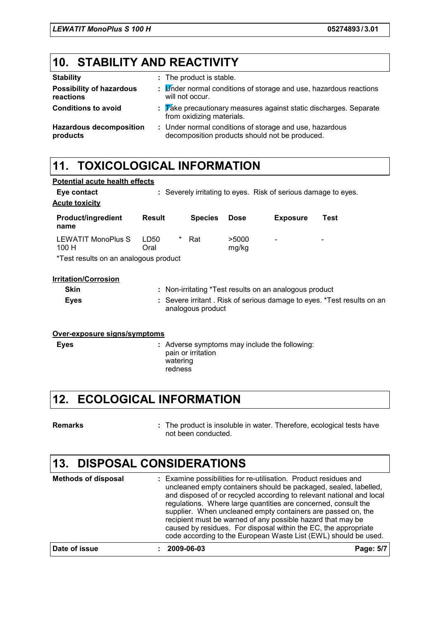**Potential acute health effects**

### **10. STABILITY AND REACTIVITY**

| <b>Stability</b>                             | : The product is stable.                                                                                   |
|----------------------------------------------|------------------------------------------------------------------------------------------------------------|
| <b>Possibility of hazardous</b><br>reactions | : Under normal conditions of storage and use, hazardous reactions<br>will not occur.                       |
| <b>Conditions to avoid</b>                   | $\frac{1}{2}$ Take precautionary measures against static discharges. Separate<br>from oxidizing materials. |
| <b>Hazardous decomposition</b><br>products   | : Under normal conditions of storage and use, hazardous<br>decomposition products should not be produced.  |

### **11. TOXICOLOGICAL INFORMATION**

| Eye contact<br><b>Acute toxicity</b>                                |                                                                                             |                |                | : Severely irritating to eyes. Risk of serious damage to eyes. |      |  |
|---------------------------------------------------------------------|---------------------------------------------------------------------------------------------|----------------|----------------|----------------------------------------------------------------|------|--|
| <b>Product/ingredient</b><br>name                                   | Result                                                                                      | <b>Species</b> | <b>Dose</b>    | <b>Exposure</b>                                                | Test |  |
| LEWATIT MonoPlus S<br>100H<br>*Test results on an analogous product | LD50<br>Oral                                                                                | *<br>Rat       | >5000<br>mg/kg | $\overline{\phantom{a}}$                                       |      |  |
| <b>Irritation/Corrosion</b>                                         |                                                                                             |                |                |                                                                |      |  |
| <b>Skin</b>                                                         |                                                                                             |                |                | : Non-irritating *Test results on an analogous product         |      |  |
| <b>Eyes</b>                                                         | : Severe irritant. Risk of serious damage to eyes. *Test results on an<br>analogous product |                |                |                                                                |      |  |

#### **Over-exposure signs/symptoms**

Adverse symptoms may include the following: **Eyes :** pain or irritation watering redness

#### **12. ECOLOGICAL INFORMATION**

**Remarks :**

The product is insoluble in water. Therefore, ecological tests have not been conducted.

#### **13. DISPOSAL CONSIDERATIONS**

| <b>Methods of disposal</b> | : Examine possibilities for re-utilisation. Product residues and<br>uncleaned empty containers should be packaged, sealed, labelled,<br>and disposed of or recycled according to relevant national and local<br>regulations. Where large quantities are concerned, consult the<br>supplier. When uncleaned empty containers are passed on, the<br>recipient must be warned of any possible hazard that may be<br>caused by residues. For disposal within the EC, the appropriate<br>code according to the European Waste List (EWL) should be used. |           |
|----------------------------|-----------------------------------------------------------------------------------------------------------------------------------------------------------------------------------------------------------------------------------------------------------------------------------------------------------------------------------------------------------------------------------------------------------------------------------------------------------------------------------------------------------------------------------------------------|-----------|
| Date of issue              | 2009-06-03                                                                                                                                                                                                                                                                                                                                                                                                                                                                                                                                          | Page: 5/7 |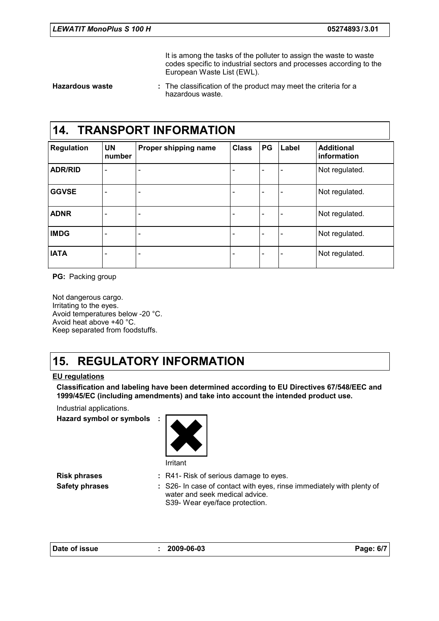It is among the tasks of the polluter to assign the waste to waste codes specific to industrial sectors and processes according to the European Waste List (EWL).

**Hazardous waste :**

The classification of the product may meet the criteria for a hazardous waste.

#### **14. TRANSPORT INFORMATION**

| <b>Regulation</b> | <b>UN</b><br>number      | Proper shipping name         | <b>Class</b> | PG                       | Label                    | <b>Additional</b><br>information |
|-------------------|--------------------------|------------------------------|--------------|--------------------------|--------------------------|----------------------------------|
| <b>ADR/RID</b>    | $\overline{\phantom{0}}$ | $\qquad \qquad \blacksquare$ |              | -                        |                          | Not regulated.                   |
| <b>GGVSE</b>      | $\overline{\phantom{a}}$ | $\qquad \qquad$              |              | $\overline{\phantom{a}}$ | $\overline{\phantom{0}}$ | Not regulated.                   |
| <b>ADNR</b>       | $\overline{\phantom{0}}$ | $\qquad \qquad \blacksquare$ |              | ۰                        | $\overline{\phantom{0}}$ | Not regulated.                   |
| <b>IMDG</b>       | $\overline{\phantom{a}}$ | $\qquad \qquad$              |              | $\overline{\phantom{a}}$ | $\blacksquare$           | Not regulated.                   |
| <b>IATA</b>       | $\overline{\phantom{0}}$ | $\qquad \qquad \blacksquare$ |              | ۰                        | $\qquad \qquad$          | Not regulated.                   |

**PG:** Packing group

Not dangerous cargo. Irritating to the eyes. Avoid temperatures below -20 °C. Avoid heat above +40 °C. Keep separated from foodstuffs.

### **15. REGULATORY INFORMATION**

#### **EU regulations**

**Classification and labeling have been determined according to EU Directives 67/548/EEC and 1999/45/EC (including amendments) and take into account the intended product use.**

Industrial applications.

**Hazard symbol or symbols :**

Irritant

- **Risk phrases** : R41- Risk of serious damage to eyes.
- **Safety phrases** : S26- In case of contact with eyes, rinse immediately with plenty of water and seek medical advice. S39- Wear eye/face protection.

| Date of issue |  |
|---------------|--|
|---------------|--|